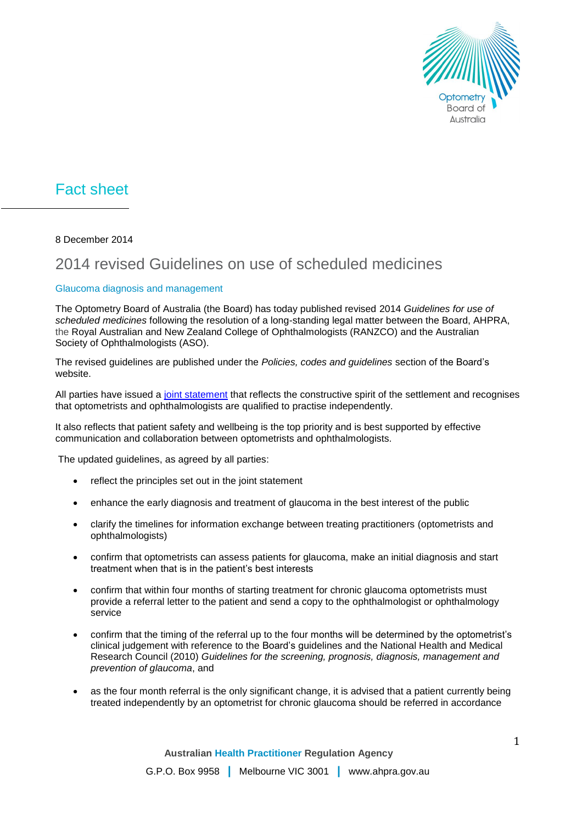

## Fact sheet

8 December 2014

## 2014 revised Guidelines on use of scheduled medicines

## Glaucoma diagnosis and management

The Optometry Board of Australia (the Board) has today published revised 2014 *Guidelines for use of scheduled medicines* following the resolution of a long-standing legal matter between the Board, AHPRA, the Royal Australian and New Zealand College of Ophthalmologists (RANZCO) and the Australian Society of Ophthalmologists (ASO).

The revised guidelines are published under the *Policies, codes and guidelines* section of the Board's website.

All parties have issued a [joint statement](http://www.optometryboard.gov.au/News/2014-11-25-glaucoma-diagnosis-and-management.aspx) that reflects the constructive spirit of the settlement and recognises that optometrists and ophthalmologists are qualified to practise independently.

It also reflects that patient safety and wellbeing is the top priority and is best supported by effective communication and collaboration between optometrists and ophthalmologists.

The updated guidelines, as agreed by all parties:

- reflect the principles set out in the joint statement
- enhance the early diagnosis and treatment of glaucoma in the best interest of the public
- clarify the timelines for information exchange between treating practitioners (optometrists and ophthalmologists)
- confirm that optometrists can assess patients for glaucoma, make an initial diagnosis and start treatment when that is in the patient's best interests
- confirm that within four months of starting treatment for chronic glaucoma optometrists must provide a referral letter to the patient and send a copy to the ophthalmologist or ophthalmology service
- confirm that the timing of the referral up to the four months will be determined by the optometrist's clinical judgement with reference to the Board's guidelines and the National Health and Medical Research Council (2010) *Guidelines for the screening, prognosis, diagnosis, management and prevention of glaucoma*, and
- as the four month referral is the only significant change, it is advised that a patient currently being treated independently by an optometrist for chronic glaucoma should be referred in accordance